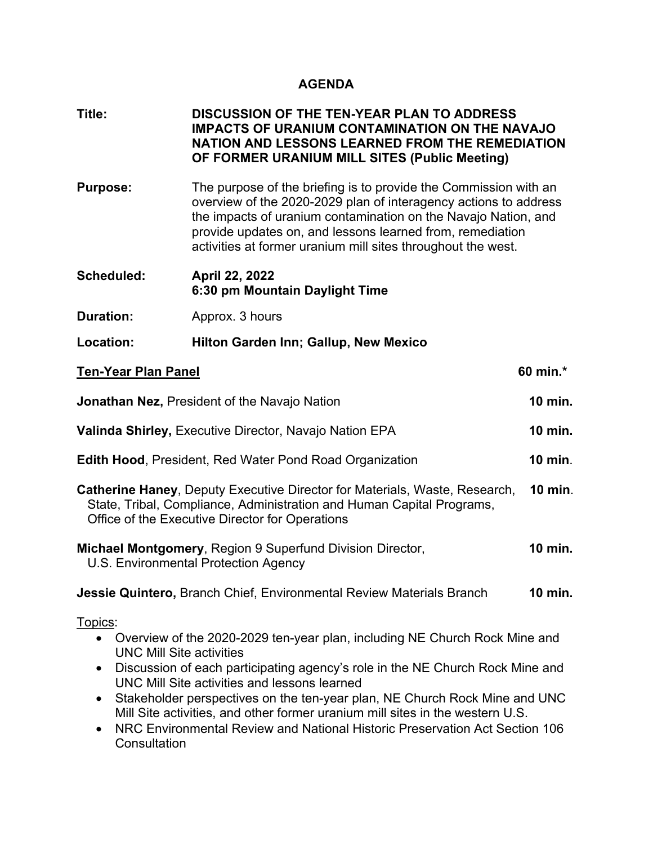## **AGENDA**

| Title: | <b>DISCUSSION OF THE TEN-YEAR PLAN TO ADDRESS</b>     |
|--------|-------------------------------------------------------|
|        | <b>IMPACTS OF URANIUM CONTAMINATION ON THE NAVAJO</b> |
|        | NATION AND LESSONS LEARNED FROM THE REMEDIATION       |
|        | OF FORMER URANIUM MILL SITES (Public Meeting)         |

- **Purpose:** The purpose of the briefing is to provide the Commission with an overview of the 2020-2029 plan of interagency actions to address the impacts of uranium contamination on the Navajo Nation, and provide updates on, and lessons learned from, remediation activities at former uranium mill sites throughout the west.
- **Scheduled: April 22, 2022 6:30 pm Mountain Daylight Time Duration:** Approx. 3 hours
- **Location: Hilton Garden Inn; Gallup, New Mexico**

**Consultation** 

| <b>Ten-Year Plan Panel</b>                                                                                                                                                                                                                                                                                                                                                                                                                                                                                                                       | 60 min.*       |  |
|--------------------------------------------------------------------------------------------------------------------------------------------------------------------------------------------------------------------------------------------------------------------------------------------------------------------------------------------------------------------------------------------------------------------------------------------------------------------------------------------------------------------------------------------------|----------------|--|
| <b>Jonathan Nez, President of the Navajo Nation</b>                                                                                                                                                                                                                                                                                                                                                                                                                                                                                              | <b>10 min.</b> |  |
| Valinda Shirley, Executive Director, Navajo Nation EPA                                                                                                                                                                                                                                                                                                                                                                                                                                                                                           | <b>10 min.</b> |  |
| <b>Edith Hood, President, Red Water Pond Road Organization</b>                                                                                                                                                                                                                                                                                                                                                                                                                                                                                   | <b>10 min.</b> |  |
| <b>Catherine Haney, Deputy Executive Director for Materials, Waste, Research,</b><br>State, Tribal, Compliance, Administration and Human Capital Programs,<br>Office of the Executive Director for Operations                                                                                                                                                                                                                                                                                                                                    | <b>10 min.</b> |  |
| Michael Montgomery, Region 9 Superfund Division Director,<br>U.S. Environmental Protection Agency                                                                                                                                                                                                                                                                                                                                                                                                                                                |                |  |
| <b>Jessie Quintero, Branch Chief, Environmental Review Materials Branch</b>                                                                                                                                                                                                                                                                                                                                                                                                                                                                      | <b>10 min.</b> |  |
| Topics:<br>• Overview of the 2020-2029 ten-year plan, including NE Church Rock Mine and<br><b>UNC Mill Site activities</b><br>Discussion of each participating agency's role in the NE Church Rock Mine and<br>$\bullet$<br>UNC Mill Site activities and lessons learned<br>Stakeholder perspectives on the ten-year plan, NE Church Rock Mine and UNC<br>$\bullet$<br>Mill Site activities, and other former uranium mill sites in the western U.S.<br>NRC Environmental Review and National Historic Preservation Act Section 106<br>$\bullet$ |                |  |